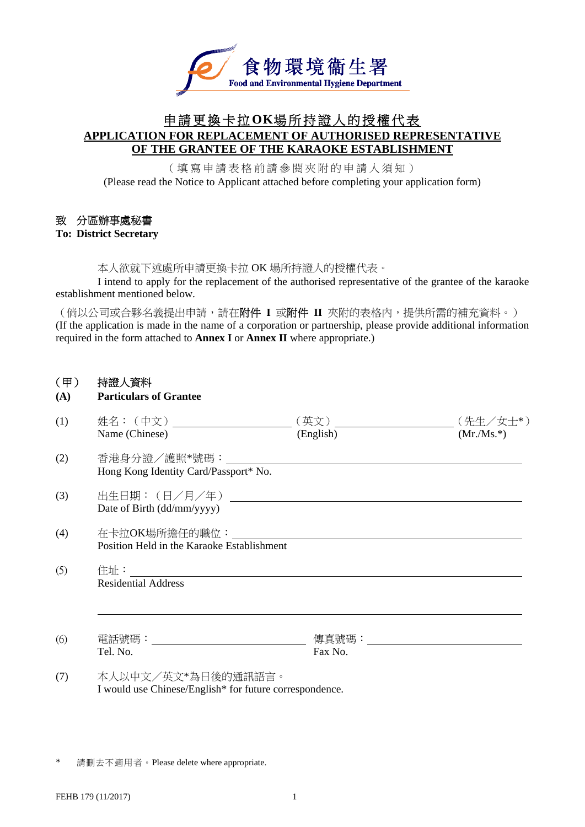

## 申請更換卡拉**OK**場所持證人的授權代表 **APPLICATION FOR REPLACEMENT OF AUTHORISED REPRESENTATIVE OF THE GRANTEE OF THE KARAOKE ESTABLISHMENT**

(填寫申請表格前請參閱夾附的申請人須知) (Please read the Notice to Applicant attached before completing your application form)

#### 致 分區辦事處秘書

#### **To: District Secretary**

本人欲就下述處所申請更換卡拉 OK 場所持證人的授權代表。

 I intend to apply for the replacement of the authorised representative of the grantee of the karaoke establishment mentioned below.

(倘以公司或合夥名義提出申請,請在附件 **I** 或附件 **II** 夾附的表格內,提供所需的補充資料。) (If the application is made in the name of a corporation or partnership, please provide additional information required in the form attached to **Annex I** or **Annex II** where appropriate.)

#### (甲) 持證人資料

### **(A) Particulars of Grantee**

| (1) | Name (Chinese)                                                                | (英文)<br>(English)                        | (先生/女士*)<br>$(Mr/Ms.*)$ |
|-----|-------------------------------------------------------------------------------|------------------------------------------|-------------------------|
| (2) | 香港身分證/護照*號碼:<br>Hong Kong Identity Card/Passport* No.                         |                                          |                         |
| (3) | 出生日期:(日/月/年)<br>Date of Birth (dd/mm/yyyy)                                    |                                          |                         |
| (4) | 在卡拉OK場所擔任的職位:<br>Position Held in the Karaoke Establishment                   |                                          |                         |
| (5) | 住址: ファイル しんしょう しんしょう しんしょう<br><b>Residential Address</b>                      |                                          |                         |
| (6) | Tel. No.                                                                      | 傳真號碼: いっとう しゅうしょう しんしゅう しんしゅう<br>Fax No. |                         |
| (7) | 本人以中文/英文*為日後的通訊語言。<br>I would use Chinese/English* for future correspondence. |                                          |                         |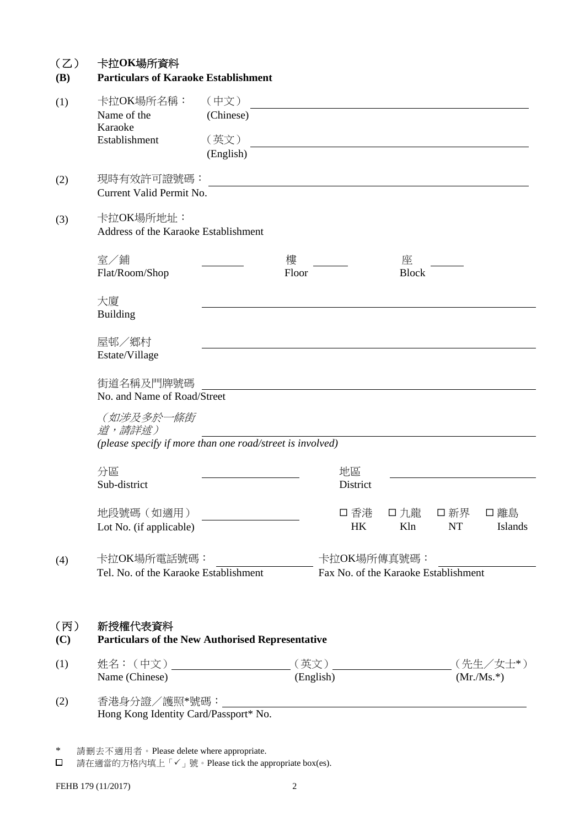| (Z)<br><b>(B)</b> | 卡拉OK場所資料<br><b>Particulars of Karaoke Establishment</b>            |                                        |                   |                |                                                     |                 |                         |
|-------------------|--------------------------------------------------------------------|----------------------------------------|-------------------|----------------|-----------------------------------------------------|-----------------|-------------------------|
| (1)               | 卡拉OK場所名稱:<br>Name of the<br>Karaoke<br>Establishment               | (中文)<br>(Chinese)<br>(英文)<br>(English) |                   |                |                                                     |                 |                         |
| (2)               | 現時有效許可證號碼:<br>Current Valid Permit No.                             |                                        |                   |                |                                                     |                 |                         |
| (3)               | 卡拉OK場所地址:<br>Address of the Karaoke Establishment                  |                                        |                   |                |                                                     |                 |                         |
|                   | 室/鋪<br>Flat/Room/Shop                                              |                                        | 樓<br>Floor        |                | 座<br><b>Block</b>                                   |                 |                         |
|                   | 大廈<br><b>Building</b>                                              |                                        |                   |                |                                                     |                 |                         |
|                   | 屋邨/鄉村<br>Estate/Village                                            |                                        |                   |                |                                                     |                 |                         |
|                   | 街道名稱及門牌號碼<br>No. and Name of Road/Street                           |                                        |                   |                |                                                     |                 |                         |
|                   | (如涉及多於一條街<br>道,請詳述)                                                |                                        |                   |                |                                                     |                 |                         |
|                   | (please specify if more than one road/street is involved)          |                                        |                   |                |                                                     |                 |                         |
|                   | 分區<br>Sub-district                                                 |                                        |                   | 地區<br>District |                                                     |                 |                         |
|                   | 地段號碼 (如適用)<br>Lot No. (if applicable)                              |                                        |                   | 口 香港<br>HK     | Kln                                                 | 口 九龍 口 新界<br>NT | 口 離島<br>Islands         |
| (4)               | 卡拉OK場所電話號碼:<br>Tel. No. of the Karaoke Establishment               |                                        |                   |                | 卡拉OK場所傳真號碼:<br>Fax No. of the Karaoke Establishment |                 |                         |
| (丙)<br>(C)        | 新授權代表資料<br><b>Particulars of the New Authorised Representative</b> |                                        |                   |                |                                                     |                 |                         |
| (1)               | 姓名: (中文) _____________________<br>Name (Chinese)                   |                                        | (英文)<br>(English) |                |                                                     |                 | (先生/女士*)<br>$(Mr/Ms.*)$ |
| (2)               | 香港身分證/護照*號碼:<br>Hong Kong Identity Card/Passport* No.              |                                        |                   |                |                                                     |                 |                         |
| ∗                 | 請刪去不適用者。Please delete where appropriate.                           |                                        |                   |                |                                                     |                 |                         |

請在適當的方格內填上「✓」號。Please tick the appropriate box(es).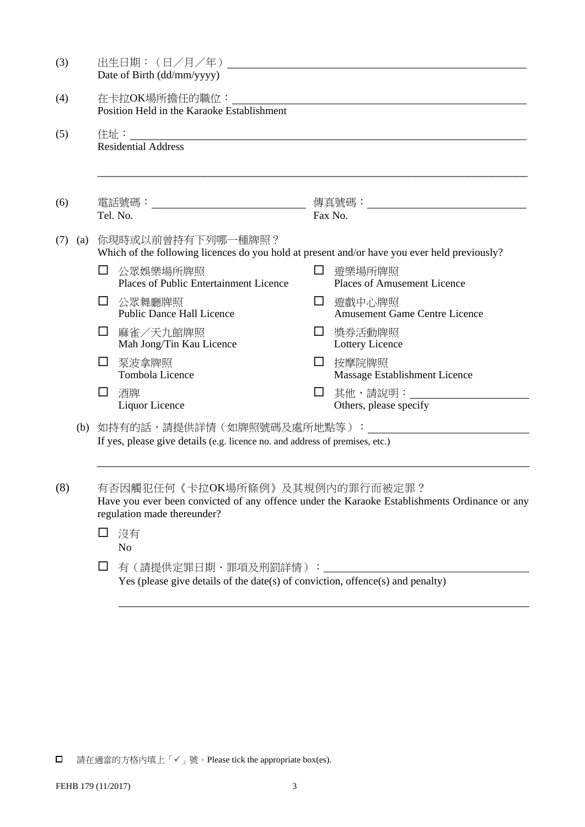| (3) |                                                                                                                                                                |                                            | 出生日期: ( 日/月/年 ) __________________<br>Date of Birth (dd/mm/yyyy)                                                  |   |                                                         |  |  |  |
|-----|----------------------------------------------------------------------------------------------------------------------------------------------------------------|--------------------------------------------|-------------------------------------------------------------------------------------------------------------------|---|---------------------------------------------------------|--|--|--|
| (4) |                                                                                                                                                                | Position Held in the Karaoke Establishment |                                                                                                                   |   |                                                         |  |  |  |
| (5) |                                                                                                                                                                |                                            | <b>Residential Address</b>                                                                                        |   |                                                         |  |  |  |
| (6) |                                                                                                                                                                |                                            | Tel. No.                                                                                                          |   | Fax No.                                                 |  |  |  |
| (7) | (a)                                                                                                                                                            |                                            | 你現時或以前曾持有下列哪一種牌照?<br>Which of the following licences do you hold at present and/or have you ever held previously? |   |                                                         |  |  |  |
|     |                                                                                                                                                                | $\Box$                                     | 公眾娛樂場所牌照<br>Places of Public Entertainment Licence                                                                | ப | 遊樂場所牌照<br><b>Places of Amusement Licence</b>            |  |  |  |
|     |                                                                                                                                                                | Ш                                          | 公眾舞廳牌照<br><b>Public Dance Hall Licence</b>                                                                        |   | □ 遊戲中心牌照<br><b>Amusement Game Centre Licence</b>        |  |  |  |
|     |                                                                                                                                                                | ப                                          | 麻雀/天九館牌照<br>Mah Jong/Tin Kau Licence                                                                              | ப | 獎券活動牌照<br>Lottery Licence                               |  |  |  |
|     |                                                                                                                                                                | ப                                          | 泵波拿牌照<br>Tombola Licence                                                                                          | ⊔ | 按摩院牌照<br>Massage Establishment Licence                  |  |  |  |
|     |                                                                                                                                                                | ப                                          | 酒牌<br>Liquor Licence                                                                                              | □ | 其他,請說明:______________________<br>Others, please specify |  |  |  |
|     |                                                                                                                                                                |                                            | If yes, please give details (e.g. licence no. and address of premises, etc.)                                      |   |                                                         |  |  |  |
| (8) | 有否因觸犯任何《卡拉OK場所條例》及其規例內的罪行而被定罪?<br>Have you ever been convicted of any offence under the Karaoke Establishments Ordinance or any<br>regulation made thereunder? |                                            |                                                                                                                   |   |                                                         |  |  |  |
|     |                                                                                                                                                                | ப                                          | 沒有<br>N <sub>o</sub>                                                                                              |   |                                                         |  |  |  |
|     |                                                                                                                                                                | ப                                          | 有(請提供定罪日期、罪項及刑罰詳情): __<br>Yes (please give details of the date(s) of conviction, offence(s) and penalty)          |   |                                                         |  |  |  |
|     |                                                                                                                                                                |                                            |                                                                                                                   |   |                                                         |  |  |  |

 $\hfill{\Box}$  請在適當的方格內填上「 $\checkmark$ 」號。Please tick the appropriate box(es).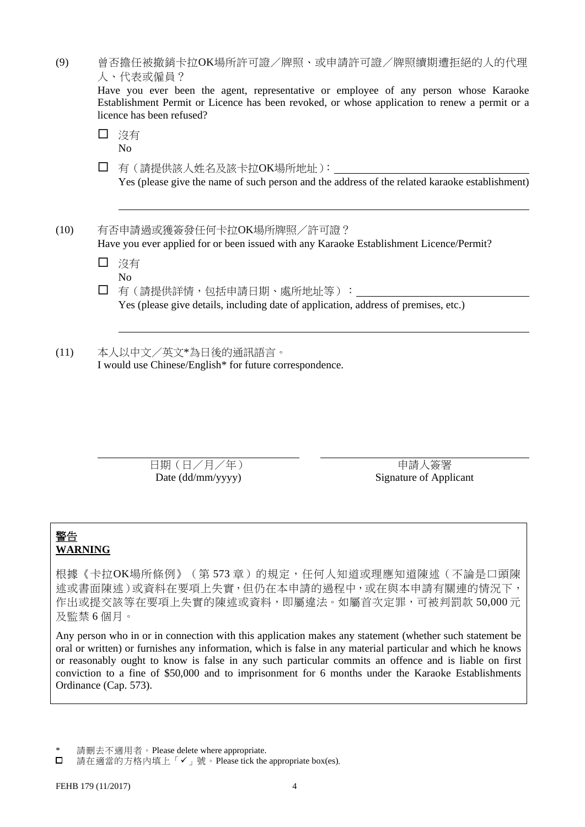| (9)  |                    | 曾否擔任被撤銷卡拉OK場所許可證/牌照、或申請許可證/牌照續期遭拒絕的人的代理<br>人、代表或僱員?                                                                                                                                                                |  |  |  |  |  |
|------|--------------------|--------------------------------------------------------------------------------------------------------------------------------------------------------------------------------------------------------------------|--|--|--|--|--|
|      |                    | Have you ever been the agent, representative or employee of any person whose Karaoke<br>Establishment Permit or Licence has been revoked, or whose application to renew a permit or a<br>licence has been refused? |  |  |  |  |  |
|      | ப                  | 沒有<br>No                                                                                                                                                                                                           |  |  |  |  |  |
|      | $\perp$            | 有 (請提供該人姓名及該卡拉OK場所地址):<br>Yes (please give the name of such person and the address of the related karaoke establishment)                                                                                           |  |  |  |  |  |
| (10) |                    | 有否申請過或獲簽發任何卡拉OK場所牌照/許可證?<br>Have you ever applied for or been issued with any Karaoke Establishment Licence/Permit?                                                                                                |  |  |  |  |  |
|      | ΙI                 | 沒有<br>No                                                                                                                                                                                                           |  |  |  |  |  |
|      | $\perp$            | 有(請提供詳情,包括申請日期、處所地址等):<br>Yes (please give details, including date of application, address of premises, etc.)                                                                                                      |  |  |  |  |  |
| (11) | 本人以中文/英文*為日後的通訊語言。 |                                                                                                                                                                                                                    |  |  |  |  |  |

日期(日/月/年) 市政 中請人簽署

Date (dd/mm/yyyy) Signature of Applicant

## 警告 **WARNING**

根據《卡拉OK場所條例》(第 573 章)的規定,任何人知道或理應知道陳述(不論是口頭陳 述或書面陳述)或資料在要項上失實,但仍在本申請的過程中,或在與本申請有關連的情況下, 作出或提交該等在要項上失實的陳述或資料,即屬違法。如屬首次定罪,可被判罰款 50,000元 及監禁 6 個月。

Any person who in or in connection with this application makes any statement (whether such statement be oral or written) or furnishes any information, which is false in any material particular and which he knows or reasonably ought to know is false in any such particular commits an offence and is liable on first conviction to a fine of \$50,000 and to imprisonment for 6 months under the Karaoke Establishments Ordinance (Cap. 573).

\* 請刪去不適用者。Please delete where appropriate.

 $\Box$ 請在適當的方格內填上「✔」號。Please tick the appropriate box(es).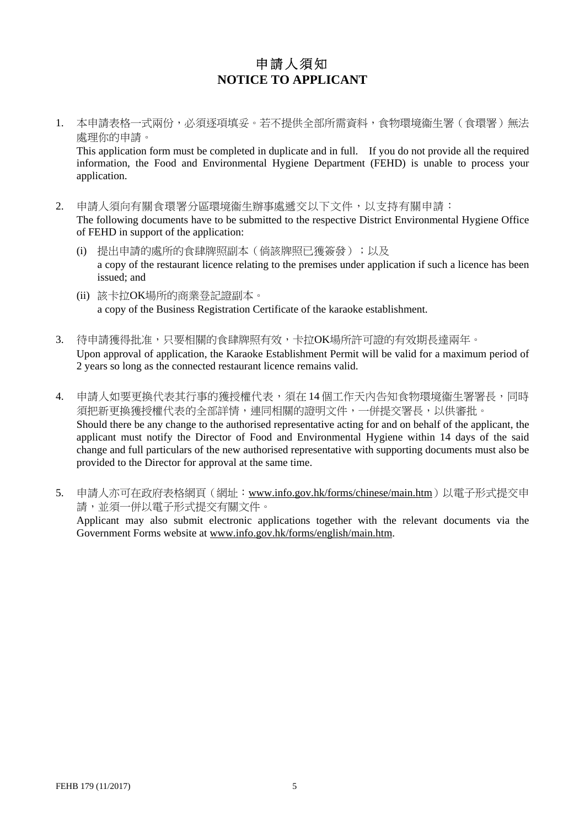# 申請人須知 **NOTICE TO APPLICANT**

1. 本申請表格一式兩份,必須逐項填妥。若不提供全部所需資料,食物環境衞生署(食環署)無法 處理你的申請。

This application form must be completed in duplicate and in full. If you do not provide all the required information, the Food and Environmental Hygiene Department (FEHD) is unable to process your application.

- 2. 申請人須向有關食環署分區環境衞生辦事處遞交以下文件,以支持有關申請: The following documents have to be submitted to the respective District Environmental Hygiene Office of FEHD in support of the application:
	- (i) 提出申請的處所的食肆牌照副本(倘該牌照已獲簽發);以及 a copy of the restaurant licence relating to the premises under application if such a licence has been issued; and
	- (ii) 該卡拉OK場所的商業登記證副本。 a copy of the Business Registration Certificate of the karaoke establishment.
- 3. 待申請獲得批准,只要相關的食肆牌照有效,卡拉OK場所許可證的有效期長達兩年。 Upon approval of application, the Karaoke Establishment Permit will be valid for a maximum period of 2 years so long as the connected restaurant licence remains valid.
- 4. 申請人如要更換代表其行事的獲授權代表,須在 14個工作天內告知食物環境衞生署署長,同時 須把新更換獲授權代表的全部詳情,連同相關的證明文件,一併提交署長,以供審批。 Should there be any change to the authorised representative acting for and on behalf of the applicant, the applicant must notify the Director of Food and Environmental Hygiene within 14 days of the said change and full particulars of the new authorised representative with supporting documents must also be provided to the Director for approval at the same time.
- 5. 申請人亦可在政府表格網頁(網址:www.info.gov.hk/forms/chinese/main.htm)以電子形式提交申 請,並須一併以電子形式提交有關文件。 Applicant may also submit electronic applications together with the relevant documents via the Government Forms website at www.info.gov.hk/forms/english/main.htm.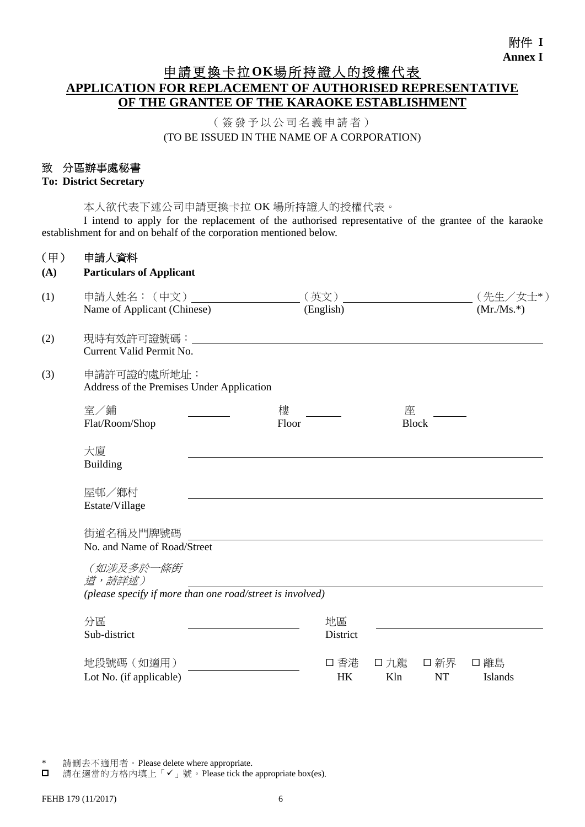# 申請更換卡拉**OK**場所持證人的授權代表 **APPLICATION FOR REPLACEMENT OF AUTHORISED REPRESENTATIVE OF THE GRANTEE OF THE KARAOKE ESTABLISHMENT**

(簽發予以公司名義申請者) (TO BE ISSUED IN THE NAME OF A CORPORATION)

### 致 分區辦事處秘書

#### **To: District Secretary**

本人欲代表下述公司申請更換卡拉 OK 場所持證人的授權代表。

 I intend to apply for the replacement of the authorised representative of the grantee of the karaoke establishment for and on behalf of the corporation mentioned below.

#### (甲) 申請人資料

| (A) | <b>Particulars of Applicant</b> |
|-----|---------------------------------|
|-----|---------------------------------|

| (1) | 申請人姓名: (中文)                                               | (英文)      |              |           | (先生/女士*)    |  |  |
|-----|-----------------------------------------------------------|-----------|--------------|-----------|-------------|--|--|
|     | Name of Applicant (Chinese)                               | (English) |              |           | $(Mr/Ms.*)$ |  |  |
| (2) | Current Valid Permit No.                                  |           |              |           |             |  |  |
| (3) | 申請許可證的處所地址:<br>Address of the Premises Under Application  |           |              |           |             |  |  |
|     | 室/鋪                                                       | 樓         | 座            |           |             |  |  |
|     | Flat/Room/Shop                                            | Floor     | <b>Block</b> |           |             |  |  |
|     | 大廈                                                        |           |              |           |             |  |  |
|     | <b>Building</b>                                           |           |              |           |             |  |  |
|     | 屋邨/鄉村                                                     |           |              |           |             |  |  |
|     | Estate/Village                                            |           |              |           |             |  |  |
|     | 街道名稱及門牌號碼                                                 |           |              |           |             |  |  |
|     | No. and Name of Road/Street                               |           |              |           |             |  |  |
|     | (如涉及多於一條街<br>道,請詳述)                                       |           |              |           |             |  |  |
|     | (please specify if more than one road/street is involved) |           |              |           |             |  |  |
|     | 分區                                                        | 地區        |              |           |             |  |  |
|     | Sub-district                                              | District  |              |           |             |  |  |
|     | 地段號碼 (如適用)                                                | 口 香港      | 口 九龍         | 口新界       | 口 離島        |  |  |
|     | Lot No. (if applicable)                                   | HK        | Kln          | <b>NT</b> | Islands     |  |  |

<sup>\*</sup> 請刪去不適用者。Please delete where appropriate.

請在適當的方格內填上「✔」號。Please tick the appropriate box(es).  $\Box$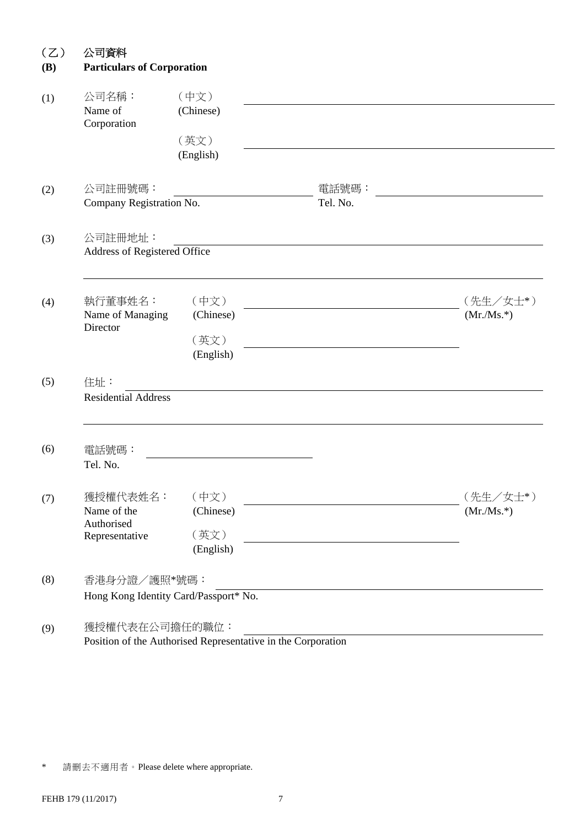| <b>Particulars of Corporation</b>                       |                                                              |                   |                         |
|---------------------------------------------------------|--------------------------------------------------------------|-------------------|-------------------------|
| 公司名稱:<br>Name of<br>Corporation                         | (中文)<br>(Chinese)<br>(英文)<br>(English)                       |                   |                         |
| 公司註冊號碼:<br>Company Registration No.                     |                                                              | 電話號碼:<br>Tel. No. |                         |
| 公司註冊地址:<br>Address of Registered Office                 |                                                              |                   |                         |
| 執行董事姓名:<br>Name of Managing<br>Director                 | (中文)<br>(Chinese)<br>(英文)<br>(English)                       |                   | (先生/女士*)<br>$(Mr/Ms.*)$ |
| 住址:<br><b>Residential Address</b>                       |                                                              |                   |                         |
| 電話號碼:<br>Tel. No.                                       |                                                              |                   |                         |
| 獲授權代表姓名:<br>Name of the<br>Authorised<br>Representative | (中文)<br>(Chinese)<br>(英文)<br>(English)                       |                   | (先生/女士*)<br>$(Mr/Ms.*)$ |
| 香港身分證/護照*號碼:<br>Hong Kong Identity Card/Passport* No.   |                                                              |                   |                         |
| 獲授權代表在公司擔任的職位:                                          | Position of the Authorised Representative in the Corporation |                   |                         |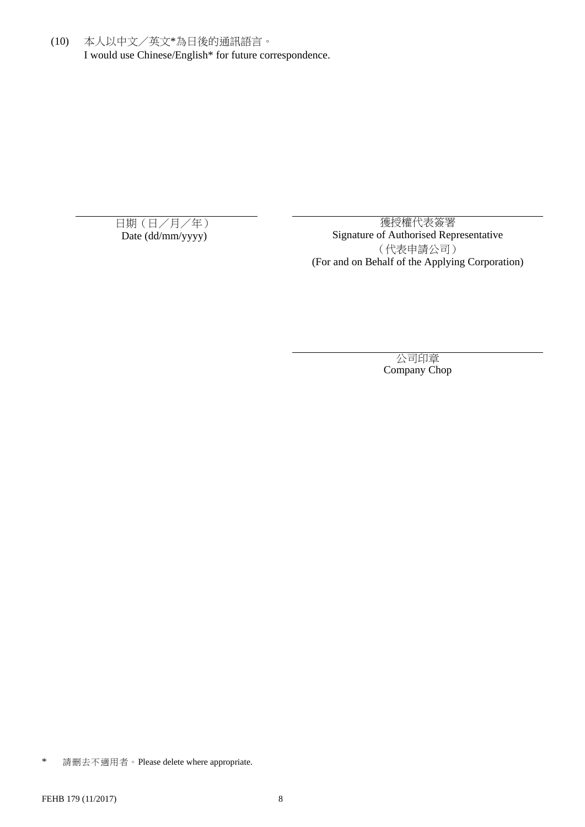(10) 本人以中文/英文\*為日後的通訊語言。 I would use Chinese/English\* for future correspondence.

日期(日/月/年) <br>
Date (dd/mm/yyyy) <br>
Signature of Authorised Rep Signature of Authorised Representative (代表申請公司) (For and on Behalf of the Applying Corporation)

> 公司印章 Company Chop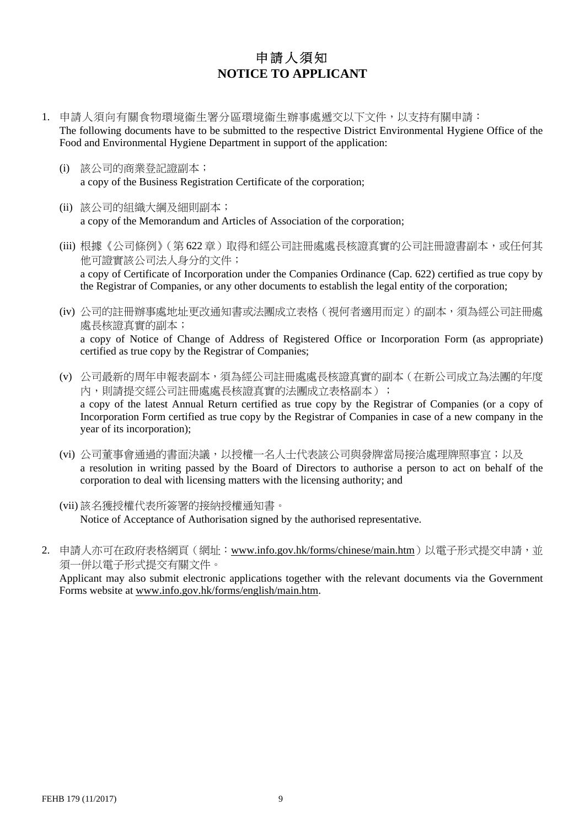# 申請人須知 **NOTICE TO APPLICANT**

- 1. 申請人須向有關食物環境衞生署分區環境衞生辦事處遞交以下文件,以支持有關申請: The following documents have to be submitted to the respective District Environmental Hygiene Office of the Food and Environmental Hygiene Department in support of the application:
	- (i) 該公司的商業登記證副本; a copy of the Business Registration Certificate of the corporation;
	- (ii) 該公司的組織大綱及細則副本; a copy of the Memorandum and Articles of Association of the corporation;
	- (iii) 根據《公司條例》(第622章)取得和經公司註冊處處長核證真實的公司註冊證書副本,或任何其 他可證實該公司法人身分的文件; a copy of Certificate of Incorporation under the Companies Ordinance (Cap. 622) certified as true copy by the Registrar of Companies, or any other documents to establish the legal entity of the corporation;
	- (iv) 公司的註冊辦事處地址更改通知書或法團成立表格(視何者適用而定)的副本,須為經公司註冊處 處長核證真實的副本; a copy of Notice of Change of Address of Registered Office or Incorporation Form (as appropriate) certified as true copy by the Registrar of Companies;
	- (v) 公司最新的周年申報表副本,須為經公司註冊處處長核證真實的副本(在新公司成立為法團的年度 內,則請提交經公司註冊處處長核證真實的法團成立表格副本); a copy of the latest Annual Return certified as true copy by the Registrar of Companies (or a copy of Incorporation Form certified as true copy by the Registrar of Companies in case of a new company in the year of its incorporation);
	- (vi) 公司董事會通過的書面決議,以授權一名人士代表該公司與發牌當局接洽處理牌照事宜;以及 a resolution in writing passed by the Board of Directors to authorise a person to act on behalf of the corporation to deal with licensing matters with the licensing authority; and
	- (vii) 該名獲授權代表所簽署的接納授權通知書。 Notice of Acceptance of Authorisation signed by the authorised representative.
- 2. 申請人亦可在政府表格網頁(網址:www.info.gov.hk/forms/chinese/main.htm)以電子形式提交申請,並 須一併以電子形式提交有關文件。

Applicant may also submit electronic applications together with the relevant documents via the Government Forms website at www.info.gov.hk/forms/english/main.htm.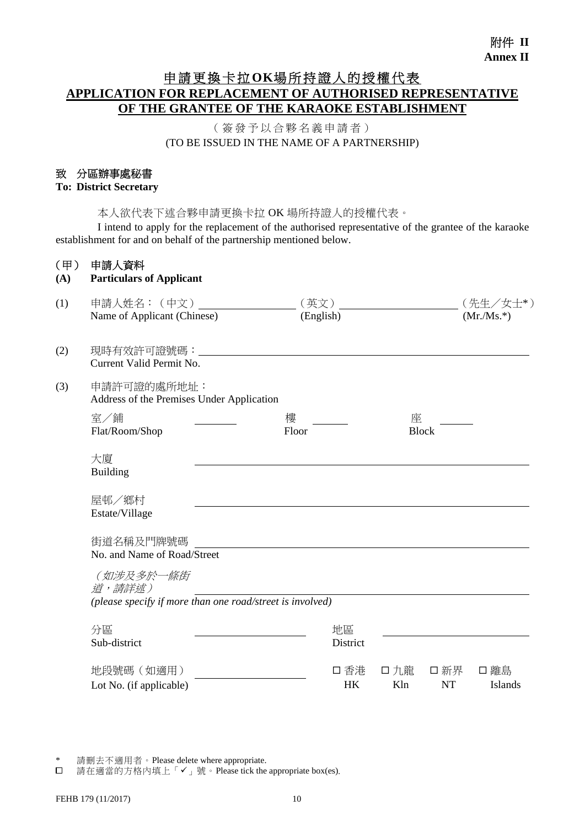# 申請更換卡拉**OK**場所持證人的授權代表 **APPLICATION FOR REPLACEMENT OF AUTHORISED REPRESENTATIVE OF THE GRANTEE OF THE KARAOKE ESTABLISHMENT**

(簽發予以合夥名義申請者) (TO BE ISSUED IN THE NAME OF A PARTNERSHIP)

#### 致 分區辦事處秘書

#### **To: District Secretary**

本人欲代表下述合夥申請更換卡拉 OK 場所持證人的授權代表。

 I intend to apply for the replacement of the authorised representative of the grantee of the karaoke establishment for and on behalf of the partnership mentioned below.

#### (甲) 申請人資料

#### **(A) Particulars of Applicant**

| (1) | 申請人姓名: (中文)                                                                      | 第文)                                       |                                | (先生/女士*)        |  |  |  |  |  |
|-----|----------------------------------------------------------------------------------|-------------------------------------------|--------------------------------|-----------------|--|--|--|--|--|
|     | Name of Applicant (Chinese)                                                      | (English)                                 |                                | $(Mr/Ms.*)$     |  |  |  |  |  |
| (2) | 現時有效許可證號碼:<br>Current Valid Permit No.                                           |                                           |                                |                 |  |  |  |  |  |
| (3) | 申請許可證的處所地址:                                                                      | Address of the Premises Under Application |                                |                 |  |  |  |  |  |
|     | 室/鋪<br>Flat/Room/Shop                                                            | 樓<br>Floor                                | 座<br><b>Block</b>              |                 |  |  |  |  |  |
|     | 大廈<br><b>Building</b>                                                            |                                           |                                |                 |  |  |  |  |  |
|     | 屋邨/鄉村<br>Estate/Village                                                          |                                           |                                |                 |  |  |  |  |  |
|     | 街道名稱及門牌號碼<br>No. and Name of Road/Street                                         |                                           |                                |                 |  |  |  |  |  |
|     | (如涉及多於一條街<br>道,請詳述)<br>(please specify if more than one road/street is involved) |                                           |                                |                 |  |  |  |  |  |
|     | 分區                                                                               | 地區                                        |                                |                 |  |  |  |  |  |
|     | Sub-district                                                                     | District                                  |                                |                 |  |  |  |  |  |
|     | 地段號碼 (如適用)<br>Lot No. (if applicable)                                            | 口 香港<br><b>HK</b>                         | 口九龍<br>口新界<br>Kln<br><b>NT</b> | □ 離島<br>Islands |  |  |  |  |  |

\* 請刪去不適用者。Please delete where appropriate.<br>□ 請在適當的方格內填上「✔」號。Please tick the

m; mind + 2011 1 11111 11111 11111 1<sub>1</sub> <sub>1</sub> - p-r<sub>r</sub>rimin.<br>請在適當的方格內填上「✔」號。Please tick the appropriate box(es).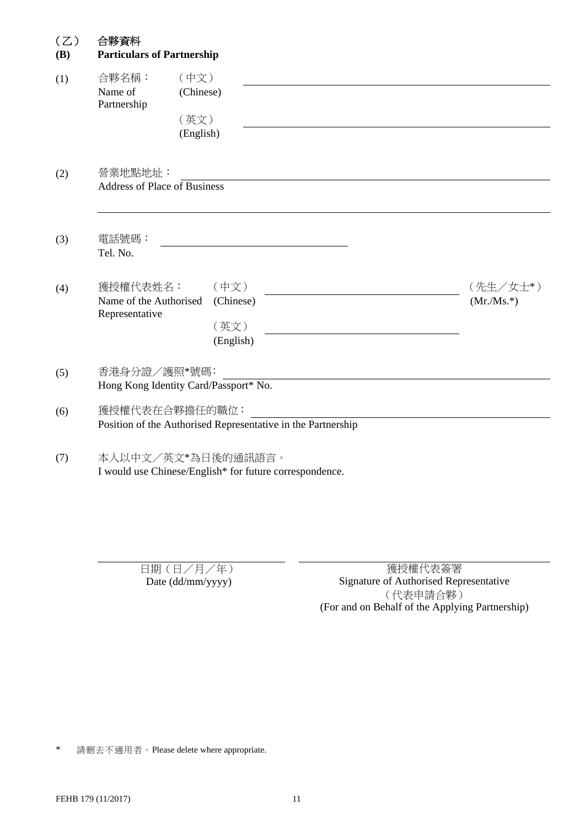| (Z) | 合夥資料 |
|-----|------|
|     |      |

| <b>(B)</b> | <b>Particulars of Partnership</b>                    |                                                                                |                         |  |  |  |  |
|------------|------------------------------------------------------|--------------------------------------------------------------------------------|-------------------------|--|--|--|--|
| (1)        | 合夥名稱:<br>Name of<br>Partnership                      | (中文)<br>(Chinese)<br>(英文)<br>(English)                                         |                         |  |  |  |  |
| (2)        | 營業地點地址:<br><b>Address of Place of Business</b>       |                                                                                |                         |  |  |  |  |
| (3)        | 電話號碼:<br>Tel. No.                                    |                                                                                |                         |  |  |  |  |
| (4)        | 獲授權代表姓名:<br>Name of the Authorised<br>Representative | (中文)<br>(Chinese)<br>(英文)<br>(English)                                         | (先生/女士*)<br>$(Mr/Ms.*)$ |  |  |  |  |
| (5)        |                                                      | 香港身分證/護照*號碼:<br>Hong Kong Identity Card/Passport* No.                          |                         |  |  |  |  |
| (6)        |                                                      | 獲授權代表在合夥擔任的職位:<br>Position of the Authorised Representative in the Partnership |                         |  |  |  |  |
| (7)        | 本人以中文/英文*為日後的通訊語言。                                   | I would use Chinese/English* for future correspondence.                        |                         |  |  |  |  |

日期(日/月/年)<br>Date (dd/mm/yyyy) Signature of Authorised Rep Signature of Authorised Representative (代表申請合夥) (For and on Behalf of the Applying Partnership)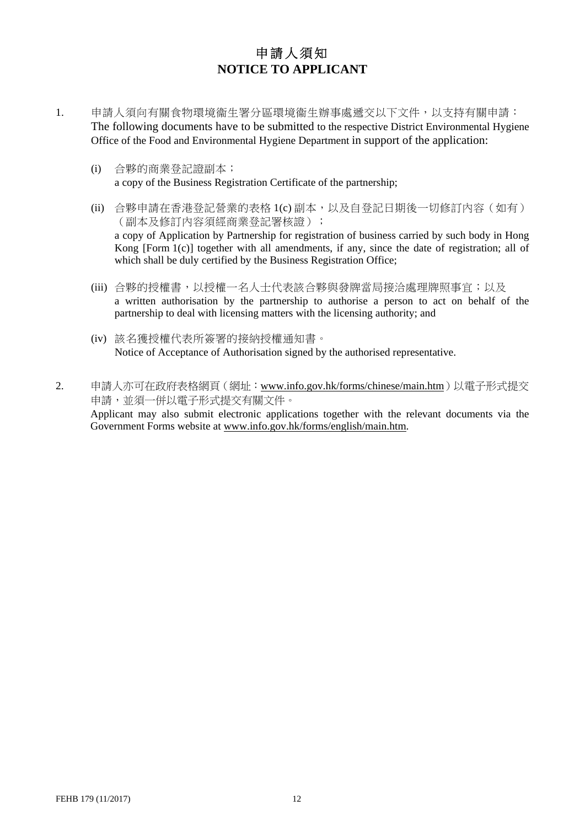# 申請人須知 **NOTICE TO APPLICANT**

- 1. 申請人須向有關食物環境衞生署分區環境衞生辦事處遞交以下文件,以支持有關申請: The following documents have to be submitted to the respective District Environmental Hygiene Office of the Food and Environmental Hygiene Department in support of the application:
	- (i) 合夥的商業登記證副本; a copy of the Business Registration Certificate of the partnership;
	- (ii) 合夥申請在香港登記營業的表格 1(c) 副本,以及自登記日期後一切修訂內容(如有) (副本及修訂內容須經商業登記署核證); a copy of Application by Partnership for registration of business carried by such body in Hong Kong [Form 1(c)] together with all amendments, if any, since the date of registration; all of which shall be duly certified by the Business Registration Office;
	- (iii) 合夥的授權書,以授權一名人士代表該合夥與發牌當局接洽處理牌照事宜;以及 a written authorisation by the partnership to authorise a person to act on behalf of the partnership to deal with licensing matters with the licensing authority; and
	- (iv) 該名獲授權代表所簽署的接納授權通知書。 Notice of Acceptance of Authorisation signed by the authorised representative.
- 2. 申請人亦可在政府表格網頁(網址:www.info.gov.hk/forms/chinese/main.htm)以電子形式提交 申請,並須一併以電子形式提交有關文件。 Applicant may also submit electronic applications together with the relevant documents via the Government Forms website at www.info.gov.hk/forms/english/main.htm.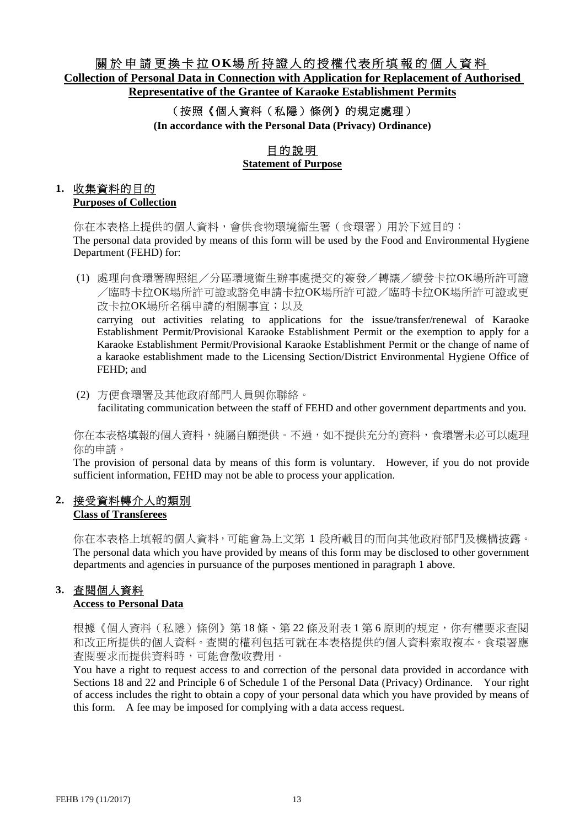## 關於申請更換卡拉 **O K**場所持證人的授權代表所填報的個人資料 **Collection of Personal Data in Connection with Application for Replacement of Authorised Representative of the Grantee of Karaoke Establishment Permits**

## (按照《個人資料(私隱)條例》的規定處理) **(In accordance with the Personal Data (Privacy) Ordinance)**

## 目的說明 **Statement of Purpose**

# **1.** 收集資料的目的

**Purposes of Collection**

你在本表格上提供的個人資料,會供食物環境衞生署(食環署)用於下述目的: The personal data provided by means of this form will be used by the Food and Environmental Hygiene Department (FEHD) for:

(1) 處理向食環署牌照組/分區環境衞生辦事處提交的簽發/轉讓/續發卡拉OK場所許可證 /臨時卡拉OK場所許可證或豁免申請卡拉OK場所許可證/臨時卡拉OK場所許可證或更 改卡拉OK場所名稱申請的相關事宜;以及 carrying out activities relating to applications for the issue/transfer/renewal of Karaoke

Establishment Permit/Provisional Karaoke Establishment Permit or the exemption to apply for a Karaoke Establishment Permit/Provisional Karaoke Establishment Permit or the change of name of a karaoke establishment made to the Licensing Section/District Environmental Hygiene Office of FEHD; and

(2) 方便食環署及其他政府部門人員與你聯絡。 facilitating communication between the staff of FEHD and other government departments and you.

你在本表格填報的個人資料,純屬自願提供。不過,如不提供充分的資料,食環署未必可以處理 你的申請。

The provision of personal data by means of this form is voluntary. However, if you do not provide sufficient information, FEHD may not be able to process your application.

### **2.** 接受資料轉介人的類別 **Class of Transferees**

你在本表格上填報的個人資料,可能會為上文第 1 段所載目的而向其他政府部門及機構披露。 The personal data which you have provided by means of this form may be disclosed to other government departments and agencies in pursuance of the purposes mentioned in paragraph 1 above.

# **3.** 查閱個人資料

#### **Access to Personal Data**

根據《個人資料(私隱)條例》第18條、第22條及附表1第6原則的規定,你有權要求查閱 和改正所提供的個人資料。查閱的權利包括可就在本表格提供的個人資料索取複本。食環署應 查閱要求而提供資料時,可能會徵收費用。

You have a right to request access to and correction of the personal data provided in accordance with Sections 18 and 22 and Principle 6 of Schedule 1 of the Personal Data (Privacy) Ordinance. Your right of access includes the right to obtain a copy of your personal data which you have provided by means of this form. A fee may be imposed for complying with a data access request.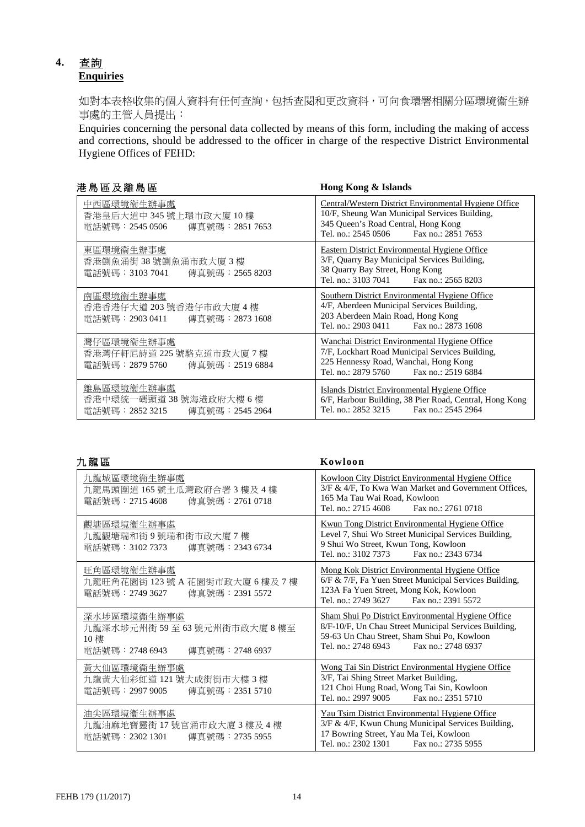## **4.** 查詢 **Enquiries**

如對本表格收集的個人資料有任何查詢,包括查閱和更改資料,可向食環署相關分區環境衞生辦 事處的主管人員提出:

Enquiries concerning the personal data collected by means of this form, including the making of access and corrections, should be addressed to the officer in charge of the respective District Environmental Hygiene Offices of FEHD:

|  |  | 港島區及離島區 |  |
|--|--|---------|--|
|  |  |         |  |

Hong Kong & Islands

| 中西區環境衞生辦事處<br>香港皇后大道中 345 號上環市政大廈 10 樓<br>電話號碼:2545 0506<br>傳真號碼:2851 7653  | Central/Western District Environmental Hygiene Office<br>10/F, Sheung Wan Municipal Services Building,<br>345 Queen's Road Central, Hong Kong<br>Tel. no.: 2545 0506<br>Fax no.: 2851 7653 |
|-----------------------------------------------------------------------------|--------------------------------------------------------------------------------------------------------------------------------------------------------------------------------------------|
| 東區環境衞生辦事處<br>香港鰂魚涌街 38 號鰂魚涌市政大廈 3 樓<br>電話號碼:3103 7041 傳真號碼:2565 8203        | Eastern District Environmental Hygiene Office<br>3/F, Quarry Bay Municipal Services Building,<br>38 Quarry Bay Street, Hong Kong<br>Tel. no.: 3103 7041 Fax no.: 2565 8203                 |
| 南區環境衞生辦事處<br>香港香港仔大道 203 號香港仔市政大廈 4 樓<br>電話號碼:2903 0411<br>傳真號碼:2873 1608   | Southern District Environmental Hygiene Office<br>4/F, Aberdeen Municipal Services Building,<br>203 Aberdeen Main Road, Hong Kong<br>Tel. no.: 2903 0411<br>Fax no.: 2873 1608             |
| 灣仔區環境衞生辦事處<br>香港灣仔軒尼詩道 225 號駱克道市政大廈 7 樓<br>電話號碼:2879 5760<br>傳真號碼:2519 6884 | Wanchai District Environmental Hygiene Office<br>7/F, Lockhart Road Municipal Services Building,<br>225 Hennessy Road, Wanchai, Hong Kong<br>Tel. no.: 2879 5760<br>Fax no.: 2519 6884     |
| 離島區環境衞生辦事處<br>香港中環統一碼頭道38號海港政府大樓6樓<br>電話號碼:2852 3215<br>傳真號碼:2545 2964      | Islands District Environmental Hygiene Office<br>6/F, Harbour Building, 38 Pier Road, Central, Hong Kong<br>Tel. no.: 2852 3215<br>Fax no.: 2545 2964                                      |

| . . | 罷 | ŀф |
|-----|---|----|
|     |   |    |

| 九龍區                                                                                   | Kowloon                                                                                                                                                                                              |
|---------------------------------------------------------------------------------------|------------------------------------------------------------------------------------------------------------------------------------------------------------------------------------------------------|
| 九龍城區環境衞生辦事處<br>九龍馬頭圍道165號土瓜灣政府合署3樓及4樓<br>電話號碼:2715 4608<br>傳真號碼:2761 0718             | <b>Kowloon City District Environmental Hygiene Office</b><br>3/F & 4/F, To Kwa Wan Market and Government Offices,<br>165 Ma Tau Wai Road, Kowloon<br>Tel. no.: 2715 4608<br>Fax no.: 2761 0718       |
| 觀塘區環境衞生辦事處<br>九龍觀塘瑞和街9號瑞和街市政大廈7樓<br>電話號碼:3102 7373<br>傳真號碼:2343 6734                  | <b>Kwun Tong District Environmental Hygiene Office</b><br>Level 7, Shui Wo Street Municipal Services Building,<br>9 Shui Wo Street, Kwun Tong, Kowloon<br>Tel. no.: 3102 7373 Fax no.: 2343 6734     |
| 旺角區環境衞生辦事處<br>九龍旺角花園街 123 號 A 花園街市政大廈 6 樓及 7 樓<br>電話號碼:2749 3627<br>傳真號碼: 2391 5572   | Mong Kok District Environmental Hygiene Office<br>6/F & 7/F, Fa Yuen Street Municipal Services Building,<br>123A Fa Yuen Street, Mong Kok, Kowloon<br>Tel. no.: 2749 3627 Fax no.: 2391 5572         |
| 深水埗區環境衞生辦事處<br>九龍深水埗元州街 59至 63號元州街市政大廈 8樓至<br>10樓<br>電話號碼:2748 6943<br>傳真號碼:2748 6937 | Sham Shui Po District Environmental Hygiene Office<br>8/F-10/F, Un Chau Street Municipal Services Building,<br>59-63 Un Chau Street, Sham Shui Po, Kowloon<br>Tel. no.: 2748 6943 Fax no.: 2748 6937 |
| 黃大仙區環境衞生辦事處<br>九龍黃大仙彩虹道 121號大成街街市大樓 3樓<br>電話號碼:2997 9005<br>傳真號碼:2351 5710            | Wong Tai Sin District Environmental Hygiene Office<br>3/F, Tai Shing Street Market Building,<br>121 Choi Hung Road, Wong Tai Sin, Kowloon<br>Tel. no.: 2997 9005<br>Fax no.: 2351 5710               |
| 油尖區環境衞生辦事處<br>九龍油麻地寶靈街 17號官涌市政大廈 3 樓及 4 樓<br>電話號碼:2302 1301<br>傳真號碼:2735 5955         | <b>Yau Tsim District Environmental Hygiene Office</b><br>3/F & 4/F, Kwun Chung Municipal Services Building,<br>17 Bowring Street, Yau Ma Tei, Kowloon<br>Tel. no.: 2302 1301<br>Fax no.: 2735 5955   |